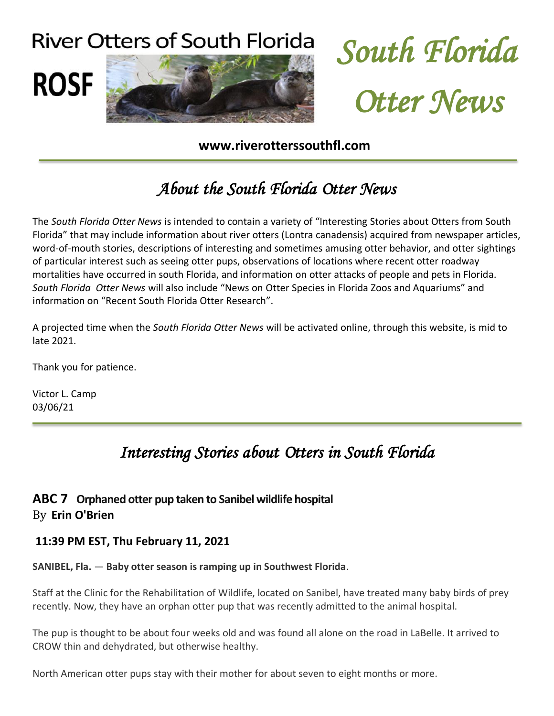



#### **www.riverotterssouthfl.com**

# About the South Florida Otter News

The *South Florida Otter News* is intended to contain a variety of "Interesting Stories about Otters from South Florida" that may include information about river otters (Lontra canadensis) acquired from newspaper articles, word-of-mouth stories, descriptions of interesting and sometimes amusing otter behavior, and otter sightings of particular interest such as seeing otter pups, observations of locations where recent otter roadway mortalities have occurred in south Florida, and information on otter attacks of people and pets in Florida. *South Florida Otter News* will also include "News on Otter Species in Florida Zoos and Aquariums" and information on "Recent South Florida Otter Research".

A projected time when the *South Florida Otter News* will be activated online, through this website, is mid to late 2021.

Thank you for patience.

Victor L. Camp 03/06/21

# Interesting Stories about Otters in South Florida

#### **ABC 7 Orphaned otter pup taken to Sanibel wildlife hospital** By **Erin O'Brien**

#### **11:39 PM EST, Thu [February](https://abc-7.com/news/environment/2021/02/10/orphaned-otter-pup-taken-to-sanibel-wildlife-hospital/) 11, 2021**

**SANIBEL, Fla.** — **Baby otter season is ramping up in Southwest Florida**.

Staff at the Clinic for the Rehabilitation of Wildlife, located on Sanibel, have treated many baby birds of prey recently. Now, they have an orphan otter pup that was recently admitted to the animal hospital.

The pup is thought to be about four weeks old and was found all alone on the road in LaBelle. It arrived to CROW thin and dehydrated, but otherwise healthy.

North American otter pups stay with their mother for about seven to eight months or more.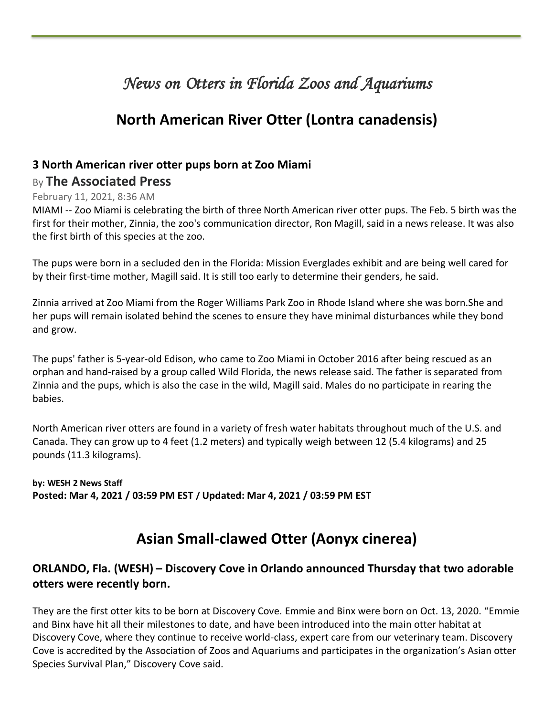### News on Otters in Florida Zoos and Aquariums

### **North American River Otter (Lontra canadensis)**

#### **3 North American river otter pups born at Zoo Miami** By **The Associated Press**

### February 11, 2021, 8:36 AM

I

MIAMI -- Zoo Miami is celebrating the birth of three North American river otter pups. The Feb. 5 birth was the first for their mother, Zinnia, the zoo's communication director, Ron Magill, said in a news release. It was also the first birth of this species at the zoo.

The pups were born in a secluded den in the Florida: Mission Everglades exhibit and are being well cared for by their first-time mother, Magill said. It is still too early to determine their genders, he said.

Zinnia arrived at Zoo Miami from the Roger Williams Park Zoo in Rhode Island where she was born.She and her pups will remain isolated behind the scenes to ensure they have minimal disturbances while they bond and grow.

The pups' father is 5-year-old Edison, who came to Zoo Miami in October 2016 after being rescued as an orphan and hand-raised by a group called Wild Florida, the news release said. The father is separated from Zinnia and the pups, which is also the case in the wild, Magill said. Males do no participate in rearing the babies.

North American river otters are found in a variety of fresh water habitats throughout much of the U.S. and Canada. They can grow up to 4 feet (1.2 meters) and typically weigh between 12 (5.4 kilograms) and 25 pounds (11.3 kilograms).

#### **by: WESH 2 News Staff Posted: Mar 4, 2021 / 03:59 PM EST / Updated: Mar 4, 2021 / 03:59 PM EST**

### **Asian Small-clawed Otter (Aonyx cinerea)**

#### **ORLANDO, Fla. (WESH) – Discovery Cove in Orlando announced Thursday that two adorable otters were recently born.**

They are the first otter kits to be born at Discovery Cove. Emmie and Binx were born on Oct. 13, 2020. "Emmie and Binx have hit all their milestones to date, and have been introduced into the main otter habitat at Discovery Cove, where they continue to receive world-class, expert care from our veterinary team. Discovery Cove is accredited by the Association of Zoos and Aquariums and participates in the organization's Asian otter Species Survival Plan," Discovery Cove said.